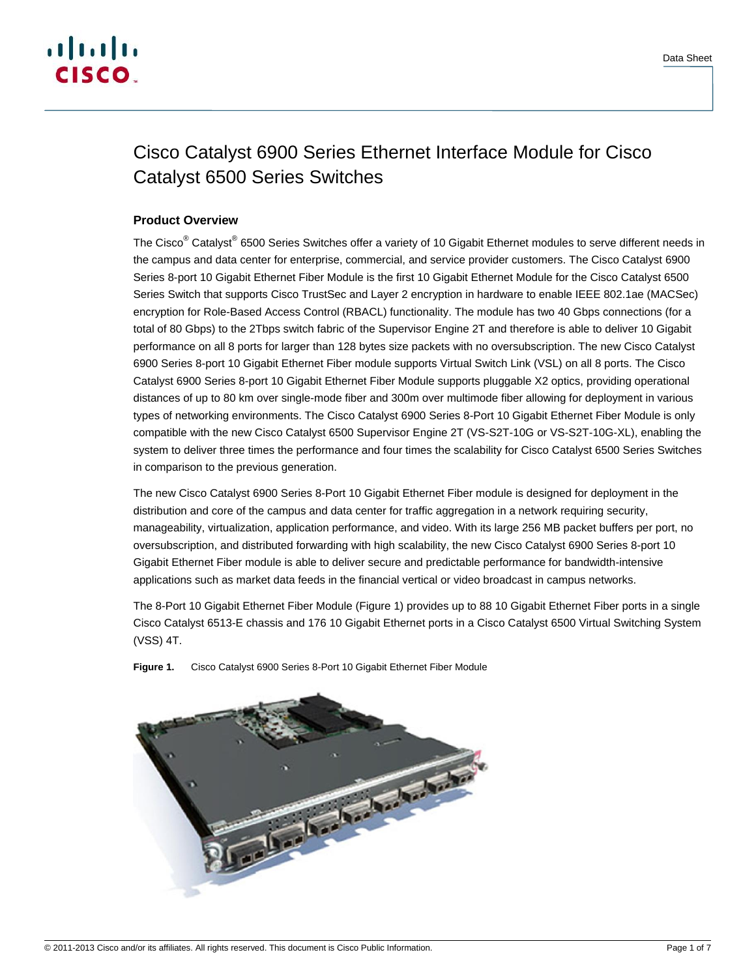

# Cisco Catalyst 6900 Series Ethernet Interface Module for Cisco Catalyst 6500 Series Switches

## **Product Overview**

The Cisco<sup>®</sup> Catalyst<sup>®</sup> 6500 Series Switches offer a variety of 10 Gigabit Ethernet modules to serve different needs in the campus and data center for enterprise, commercial, and service provider customers. The Cisco Catalyst 6900 Series 8-port 10 Gigabit Ethernet Fiber Module is the first 10 Gigabit Ethernet Module for the Cisco Catalyst 6500 Series Switch that supports Cisco TrustSec and Layer 2 encryption in hardware to enable IEEE 802.1ae (MACSec) encryption for Role-Based Access Control (RBACL) functionality. The module has two 40 Gbps connections (for a total of 80 Gbps) to the 2Tbps switch fabric of the Supervisor Engine 2T and therefore is able to deliver 10 Gigabit performance on all 8 ports for larger than 128 bytes size packets with no oversubscription. The new Cisco Catalyst 6900 Series 8-port 10 Gigabit Ethernet Fiber module supports Virtual Switch Link (VSL) on all 8 ports. The Cisco Catalyst 6900 Series 8-port 10 Gigabit Ethernet Fiber Module supports pluggable X2 optics, providing operational distances of up to 80 km over single-mode fiber and 300m over multimode fiber allowing for deployment in various types of networking environments. The Cisco Catalyst 6900 Series 8-Port 10 Gigabit Ethernet Fiber Module is only compatible with the new Cisco Catalyst 6500 Supervisor Engine 2T (VS-S2T-10G or VS-S2T-10G-XL), enabling the system to deliver three times the performance and four times the scalability for Cisco Catalyst 6500 Series Switches in comparison to the previous generation.

The new Cisco Catalyst 6900 Series 8-Port 10 Gigabit Ethernet Fiber module is designed for deployment in the distribution and core of the campus and data center for traffic aggregation in a network requiring security, manageability, virtualization, application performance, and video. With its large 256 MB packet buffers per port, no oversubscription, and distributed forwarding with high scalability, the new Cisco Catalyst 6900 Series 8-port 10 Gigabit Ethernet Fiber module is able to deliver secure and predictable performance for bandwidth-intensive applications such as market data feeds in the financial vertical or video broadcast in campus networks.

The 8-Port 10 Gigabit Ethernet Fiber Module (Figure 1) provides up to 88 10 Gigabit Ethernet Fiber ports in a single Cisco Catalyst 6513-E chassis and 176 10 Gigabit Ethernet ports in a Cisco Catalyst 6500 Virtual Switching System (VSS) 4T.



**Figure 1.** Cisco Catalyst 6900 Series 8-Port 10 Gigabit Ethernet Fiber Module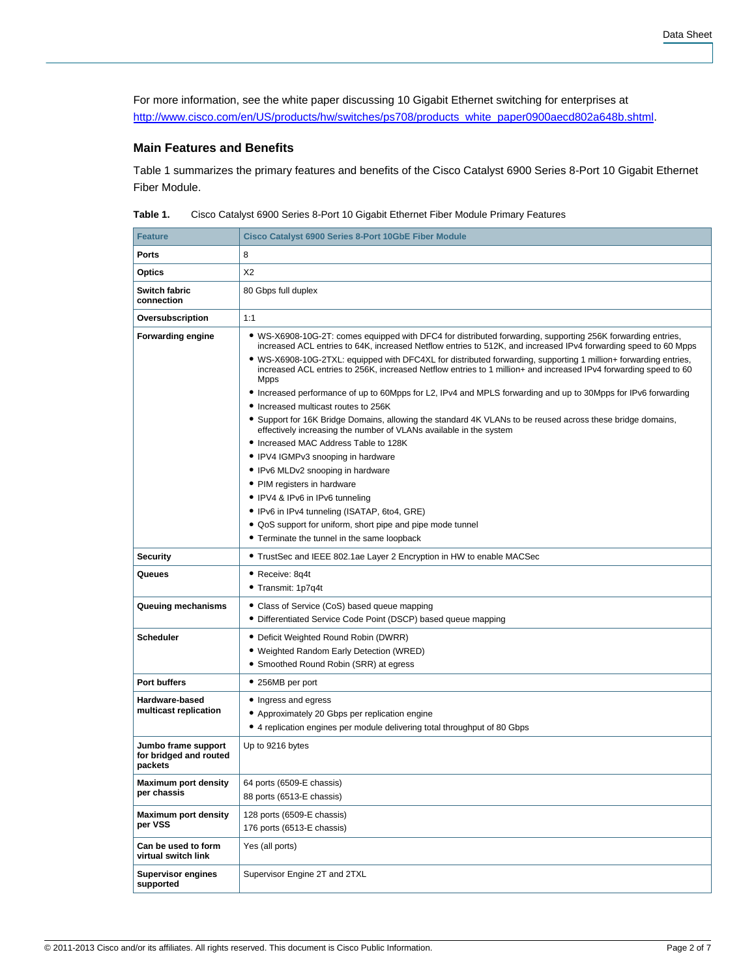For more information, see the white paper discussing 10 Gigabit Ethernet switching for enterprises at [http://www.cisco.com/en/US/products/hw/switches/ps708/products\\_white\\_paper0900aecd802a648b.shtml.](http://www.cisco.com/en/US/products/hw/switches/ps708/products_white_paper0900aecd802a648b.shtml)

### **Main Features and Benefits**

Table 1 summarizes the primary features and benefits of the Cisco Catalyst 6900 Series 8-Port 10 Gigabit Ethernet Fiber Module.

| Table 1. |  | Cisco Catalyst 6900 Series 8-Port 10 Gigabit Ethernet Fiber Module Primary Features |  |
|----------|--|-------------------------------------------------------------------------------------|--|
|----------|--|-------------------------------------------------------------------------------------|--|

| <b>Feature</b>                                           | Cisco Catalyst 6900 Series 8-Port 10GbE Fiber Module                                                                                                                                                                                                                                                                                                                                                                                                                                                                                                                                                                                                                                                                                                                                                                                                                                                                                                                                                                                                                                                                                                                                 |
|----------------------------------------------------------|--------------------------------------------------------------------------------------------------------------------------------------------------------------------------------------------------------------------------------------------------------------------------------------------------------------------------------------------------------------------------------------------------------------------------------------------------------------------------------------------------------------------------------------------------------------------------------------------------------------------------------------------------------------------------------------------------------------------------------------------------------------------------------------------------------------------------------------------------------------------------------------------------------------------------------------------------------------------------------------------------------------------------------------------------------------------------------------------------------------------------------------------------------------------------------------|
| <b>Ports</b>                                             | 8                                                                                                                                                                                                                                                                                                                                                                                                                                                                                                                                                                                                                                                                                                                                                                                                                                                                                                                                                                                                                                                                                                                                                                                    |
| Optics                                                   | X2                                                                                                                                                                                                                                                                                                                                                                                                                                                                                                                                                                                                                                                                                                                                                                                                                                                                                                                                                                                                                                                                                                                                                                                   |
| Switch fabric<br>connection                              | 80 Gbps full duplex                                                                                                                                                                                                                                                                                                                                                                                                                                                                                                                                                                                                                                                                                                                                                                                                                                                                                                                                                                                                                                                                                                                                                                  |
| Oversubscription                                         | 1:1                                                                                                                                                                                                                                                                                                                                                                                                                                                                                                                                                                                                                                                                                                                                                                                                                                                                                                                                                                                                                                                                                                                                                                                  |
| <b>Forwarding engine</b>                                 | • WS-X6908-10G-2T: comes equipped with DFC4 for distributed forwarding, supporting 256K forwarding entries,<br>increased ACL entries to 64K, increased Netflow entries to 512K, and increased IPv4 forwarding speed to 60 Mpps<br>. WS-X6908-10G-2TXL: equipped with DFC4XL for distributed forwarding, supporting 1 million+ forwarding entries,<br>increased ACL entries to 256K, increased Netflow entries to 1 million+ and increased IPv4 forwarding speed to 60<br><b>Mpps</b><br>• Increased performance of up to 60Mpps for L2, IPv4 and MPLS forwarding and up to 30Mpps for IPv6 forwarding<br>• Increased multicast routes to 256K<br>• Support for 16K Bridge Domains, allowing the standard 4K VLANs to be reused across these bridge domains,<br>effectively increasing the number of VLANs available in the system<br>• Increased MAC Address Table to 128K<br>• IPV4 IGMPv3 snooping in hardware<br>• IPv6 MLDv2 snooping in hardware<br>• PIM registers in hardware<br>• IPV4 & IPv6 in IPv6 tunneling<br>• IPv6 in IPv4 tunneling (ISATAP, 6to4, GRE)<br>• QoS support for uniform, short pipe and pipe mode tunnel<br>• Terminate the tunnel in the same loopback |
| <b>Security</b>                                          | • TrustSec and IEEE 802.1ae Layer 2 Encryption in HW to enable MACSec                                                                                                                                                                                                                                                                                                                                                                                                                                                                                                                                                                                                                                                                                                                                                                                                                                                                                                                                                                                                                                                                                                                |
| Queues                                                   | • Receive: 8q4t<br>• Transmit: 1p7q4t                                                                                                                                                                                                                                                                                                                                                                                                                                                                                                                                                                                                                                                                                                                                                                                                                                                                                                                                                                                                                                                                                                                                                |
| Queuing mechanisms                                       | • Class of Service (CoS) based queue mapping<br>• Differentiated Service Code Point (DSCP) based queue mapping                                                                                                                                                                                                                                                                                                                                                                                                                                                                                                                                                                                                                                                                                                                                                                                                                                                                                                                                                                                                                                                                       |
| <b>Scheduler</b>                                         | • Deficit Weighted Round Robin (DWRR)<br>• Weighted Random Early Detection (WRED)<br>• Smoothed Round Robin (SRR) at egress                                                                                                                                                                                                                                                                                                                                                                                                                                                                                                                                                                                                                                                                                                                                                                                                                                                                                                                                                                                                                                                          |
| Port buffers                                             | • 256MB per port                                                                                                                                                                                                                                                                                                                                                                                                                                                                                                                                                                                                                                                                                                                                                                                                                                                                                                                                                                                                                                                                                                                                                                     |
| Hardware-based<br>multicast replication                  | • Ingress and egress<br>• Approximately 20 Gbps per replication engine<br>• 4 replication engines per module delivering total throughput of 80 Gbps                                                                                                                                                                                                                                                                                                                                                                                                                                                                                                                                                                                                                                                                                                                                                                                                                                                                                                                                                                                                                                  |
| Jumbo frame support<br>for bridged and routed<br>packets | Up to 9216 bytes                                                                                                                                                                                                                                                                                                                                                                                                                                                                                                                                                                                                                                                                                                                                                                                                                                                                                                                                                                                                                                                                                                                                                                     |
| Maximum port density<br>per chassis                      | 64 ports (6509-E chassis)<br>88 ports (6513-E chassis)                                                                                                                                                                                                                                                                                                                                                                                                                                                                                                                                                                                                                                                                                                                                                                                                                                                                                                                                                                                                                                                                                                                               |
| <b>Maximum port density</b><br>per VSS                   | 128 ports (6509-E chassis)<br>176 ports (6513-E chassis)                                                                                                                                                                                                                                                                                                                                                                                                                                                                                                                                                                                                                                                                                                                                                                                                                                                                                                                                                                                                                                                                                                                             |
| Can be used to form<br>virtual switch link               | Yes (all ports)                                                                                                                                                                                                                                                                                                                                                                                                                                                                                                                                                                                                                                                                                                                                                                                                                                                                                                                                                                                                                                                                                                                                                                      |
| <b>Supervisor engines</b><br>supported                   | Supervisor Engine 2T and 2TXL                                                                                                                                                                                                                                                                                                                                                                                                                                                                                                                                                                                                                                                                                                                                                                                                                                                                                                                                                                                                                                                                                                                                                        |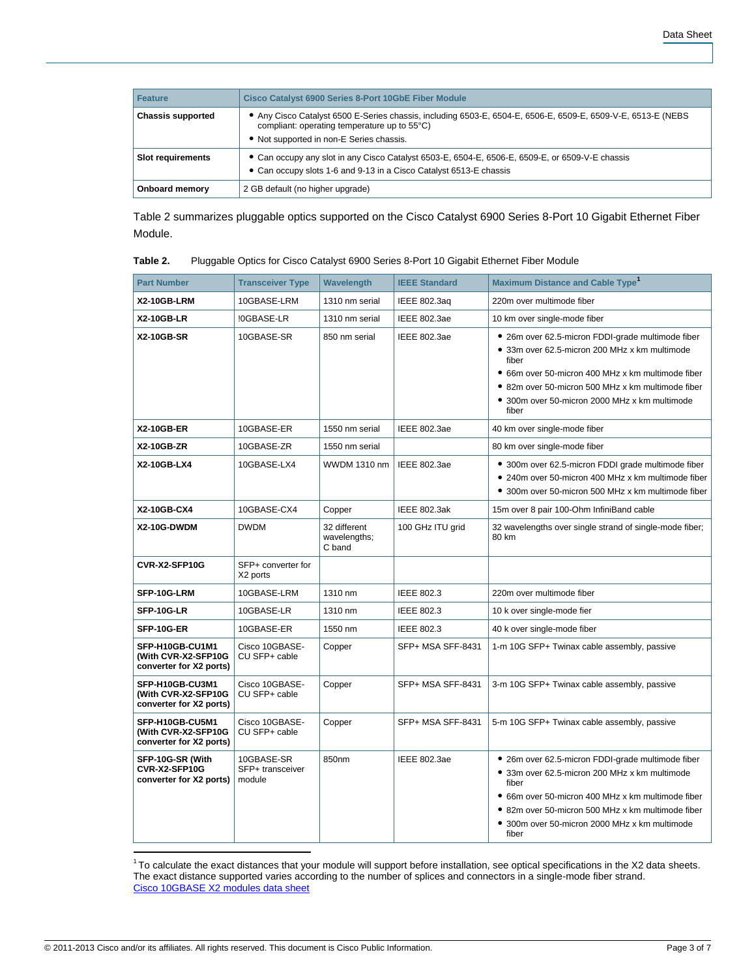| Feature                  | Cisco Catalyst 6900 Series 8-Port 10GbE Fiber Module                                                                                                                                                   |
|--------------------------|--------------------------------------------------------------------------------------------------------------------------------------------------------------------------------------------------------|
| <b>Chassis supported</b> | Any Cisco Catalyst 6500 E-Series chassis, including 6503-E, 6504-E, 6506-E, 6509-E, 6509-V-E, 6513-E (NEBS<br>compliant: operating temperature up to 55°C)<br>• Not supported in non-E Series chassis. |
| <b>Slot requirements</b> | • Can occupy any slot in any Cisco Catalyst 6503-E, 6504-E, 6506-E, 6509-E, or 6509-V-E chassis<br>• Can occupy slots 1-6 and 9-13 in a Cisco Catalyst 6513-E chassis                                  |
| Onboard memory           | 2 GB default (no higher upgrade)                                                                                                                                                                       |

Table 2 summarizes pluggable optics supported on the Cisco Catalyst 6900 Series 8-Port 10 Gigabit Ethernet Fiber Module.

| Table 2. |  | Pluggable Optics for Cisco Catalyst 6900 Series 8-Port 10 Gigabit Ethernet Fiber Module |
|----------|--|-----------------------------------------------------------------------------------------|
|----------|--|-----------------------------------------------------------------------------------------|

| <b>Part Number</b>                                                | <b>Transceiver Type</b>                  | Wavelength                             | <b>IEEE Standard</b> | <b>Maximum Distance and Cable Type</b> <sup>1</sup>                                                                                                                                                                                                                             |
|-------------------------------------------------------------------|------------------------------------------|----------------------------------------|----------------------|---------------------------------------------------------------------------------------------------------------------------------------------------------------------------------------------------------------------------------------------------------------------------------|
| X2-10GB-LRM                                                       | 10GBASE-LRM                              | 1310 nm serial                         | <b>IEEE 802.3ag</b>  | 220m over multimode fiber                                                                                                                                                                                                                                                       |
| <b>X2-10GB-LR</b>                                                 | !0GBASE-LR                               | 1310 nm serial                         | IEEE 802.3ae         | 10 km over single-mode fiber                                                                                                                                                                                                                                                    |
| <b>X2-10GB-SR</b>                                                 | 10GBASE-SR                               | 850 nm serial                          | <b>IEEE 802.3ae</b>  | • 26m over 62.5-micron FDDI-grade multimode fiber<br>• 33m over 62.5-micron 200 MHz x km multimode<br>fiber<br>• 66m over 50-micron 400 MHz x km multimode fiber<br>• 82m over 50-micron 500 MHz x km multimode fiber<br>• 300m over 50-micron 2000 MHz x km multimode<br>fiber |
| <b>X2-10GB-ER</b>                                                 | 10GBASE-ER                               | 1550 nm serial                         | <b>IEEE 802.3ae</b>  | 40 km over single-mode fiber                                                                                                                                                                                                                                                    |
| <b>X2-10GB-ZR</b>                                                 | 10GBASE-ZR                               | 1550 nm serial                         |                      | 80 km over single-mode fiber                                                                                                                                                                                                                                                    |
| X2-10GB-LX4                                                       | 10GBASE-LX4                              | <b>WWDM 1310 nm</b>                    | <b>IEEE 802.3ae</b>  | • 300m over 62.5-micron FDDI grade multimode fiber<br>• 240m over 50-micron 400 MHz x km multimode fiber<br>• 300m over 50-micron 500 MHz x km multimode fiber                                                                                                                  |
| X2-10GB-CX4                                                       | 10GBASE-CX4                              | Copper                                 | <b>IEEE 802.3ak</b>  | 15m over 8 pair 100-Ohm InfiniBand cable                                                                                                                                                                                                                                        |
| X2-10G-DWDM                                                       | <b>DWDM</b>                              | 32 different<br>wavelengths;<br>C band | 100 GHz ITU grid     | 32 wavelengths over single strand of single-mode fiber;<br>80 km                                                                                                                                                                                                                |
| CVR-X2-SFP10G                                                     | SFP+ converter for<br>X2 ports           |                                        |                      |                                                                                                                                                                                                                                                                                 |
| SFP-10G-LRM                                                       | 10GBASE-LRM                              | 1310 nm                                | IEEE 802.3           | 220m over multimode fiber                                                                                                                                                                                                                                                       |
| SFP-10G-LR                                                        | 10GBASE-LR                               | 1310 nm                                | <b>IEEE 802.3</b>    | 10 k over single-mode fier                                                                                                                                                                                                                                                      |
| SFP-10G-ER                                                        | 10GBASE-ER                               | 1550 nm                                | IEEE 802.3           | 40 k over single-mode fiber                                                                                                                                                                                                                                                     |
| SFP-H10GB-CU1M1<br>(With CVR-X2-SFP10G<br>converter for X2 ports) | Cisco 10GBASE-<br>CU SFP+ cable          | Copper                                 | SFP+ MSA SFF-8431    | 1-m 10G SFP+ Twinax cable assembly, passive                                                                                                                                                                                                                                     |
| SFP-H10GB-CU3M1<br>(With CVR-X2-SFP10G<br>converter for X2 ports) | Cisco 10GBASE-<br>CU SFP+ cable          | Copper                                 | SFP+ MSA SFF-8431    | 3-m 10G SFP+ Twinax cable assembly, passive                                                                                                                                                                                                                                     |
| SFP-H10GB-CU5M1<br>(With CVR-X2-SFP10G<br>converter for X2 ports) | Cisco 10GBASE-<br>CU SFP+ cable          | Copper                                 | SFP+ MSA SFF-8431    | 5-m 10G SFP+ Twinax cable assembly, passive                                                                                                                                                                                                                                     |
| SFP-10G-SR (With<br>CVR-X2-SFP10G<br>converter for X2 ports)      | 10GBASE-SR<br>SFP+ transceiver<br>module | 850nm                                  | <b>IEEE 802.3ae</b>  | • 26m over 62.5-micron FDDI-grade multimode fiber<br>• 33m over 62.5-micron 200 MHz x km multimode<br>fiber<br>• 66m over 50-micron 400 MHz x km multimode fiber<br>• 82m over 50-micron 500 MHz x km multimode fiber<br>• 300m over 50-micron 2000 MHz x km multimode<br>fiber |

To calculate the exact distances that your module will support before installation, see optical specifications in the X2 data sheets. The exact distance supported varies according to the number of splices and connectors in a single-mode fiber strand. [Cisco 10GBASE X2 modules data sheet](http://www.cisco.com/en/US/products/hw/modules/ps5455/products_data_sheet0900aecd801f92aa.html)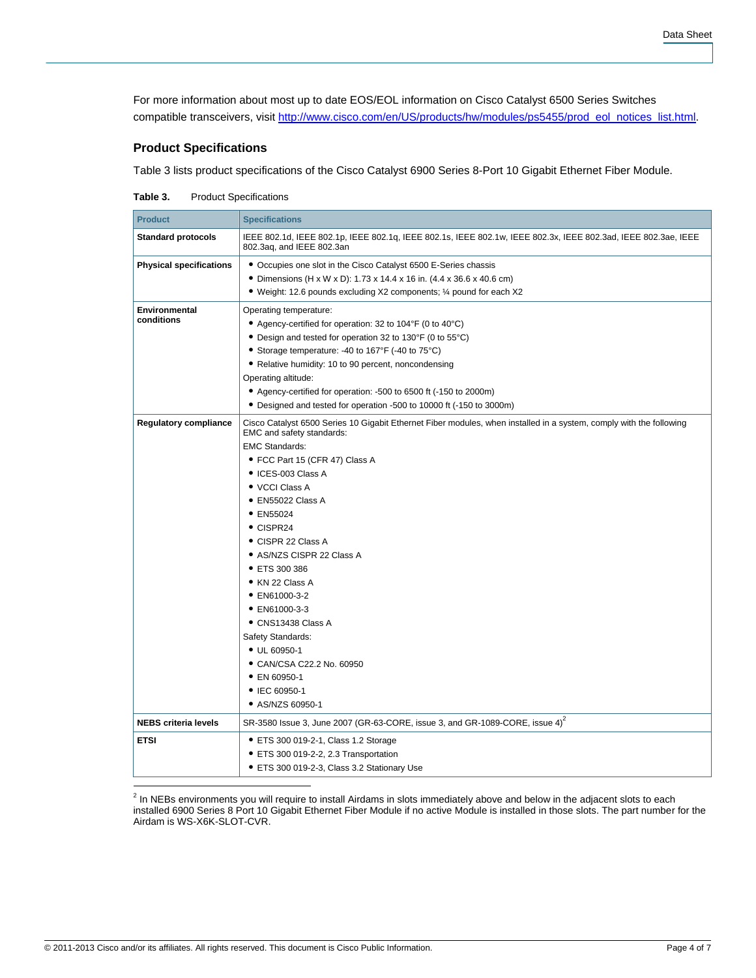For more information about most up to date EOS/EOL information on Cisco Catalyst 6500 Series Switches compatible transceivers, visi[t http://www.cisco.com/en/US/products/hw/modules/ps5455/prod\\_eol\\_notices\\_list.html.](http://www.cisco.com/en/US/products/hw/modules/ps5455/prod_eol_notices_list.html)

### **Product Specifications**

Table 3 lists product specifications of the Cisco Catalyst 6900 Series 8-Port 10 Gigabit Ethernet Fiber Module.

| Table 3. | <b>Product Specifications</b> |
|----------|-------------------------------|
|----------|-------------------------------|

| <b>Product</b>                 | <b>Specifications</b>                                                                                                                            |
|--------------------------------|--------------------------------------------------------------------------------------------------------------------------------------------------|
| <b>Standard protocols</b>      | IEEE 802.1d, IEEE 802.1p, IEEE 802.1q, IEEE 802.1s, IEEE 802.1w, IEEE 802.3x, IEEE 802.3ad, IEEE 802.3ae, IEEE<br>802.3aq, and IEEE 802.3an      |
| <b>Physical specifications</b> | • Occupies one slot in the Cisco Catalyst 6500 E-Series chassis                                                                                  |
|                                | • Dimensions (H x W x D): 1.73 x 14.4 x 16 in. (4.4 x 36.6 x 40.6 cm)                                                                            |
|                                | • Weight: 12.6 pounds excluding X2 components; 1/4 pound for each X2                                                                             |
| Environmental                  | Operating temperature:                                                                                                                           |
| conditions                     | • Agency-certified for operation: 32 to 104°F (0 to 40°C)                                                                                        |
|                                | • Design and tested for operation 32 to 130°F (0 to 55°C)                                                                                        |
|                                | • Storage temperature: -40 to 167°F (-40 to 75°C)                                                                                                |
|                                | • Relative humidity: 10 to 90 percent, noncondensing                                                                                             |
|                                | Operating altitude:                                                                                                                              |
|                                | • Agency-certified for operation: -500 to 6500 ft (-150 to 2000m)                                                                                |
|                                | • Designed and tested for operation -500 to 10000 ft (-150 to 3000m)                                                                             |
| <b>Regulatory compliance</b>   | Cisco Catalyst 6500 Series 10 Gigabit Ethernet Fiber modules, when installed in a system, comply with the following<br>EMC and safety standards: |
|                                | <b>EMC Standards:</b>                                                                                                                            |
|                                | • FCC Part 15 (CFR 47) Class A                                                                                                                   |
|                                | • ICES-003 Class A                                                                                                                               |
|                                | • VCCI Class A                                                                                                                                   |
|                                | · EN55022 Class A                                                                                                                                |
|                                | • EN55024                                                                                                                                        |
|                                | $\bullet$ CISPR24                                                                                                                                |
|                                | • CISPR 22 Class A                                                                                                                               |
|                                | • AS/NZS CISPR 22 Class A                                                                                                                        |
|                                | • ETS 300 386                                                                                                                                    |
|                                | • KN 22 Class A                                                                                                                                  |
|                                | • EN61000-3-2                                                                                                                                    |
|                                | • EN61000-3-3<br>• CNS13438 Class A                                                                                                              |
|                                | Safety Standards:                                                                                                                                |
|                                | • UL 60950-1                                                                                                                                     |
|                                | • CAN/CSA C22.2 No. 60950                                                                                                                        |
|                                | • EN 60950-1                                                                                                                                     |
|                                | • IEC 60950-1                                                                                                                                    |
|                                | • AS/NZS 60950-1                                                                                                                                 |
| <b>NEBS criteria levels</b>    | SR-3580 Issue 3, June 2007 (GR-63-CORE, issue 3, and GR-1089-CORE, issue 4) <sup>2</sup>                                                         |
| <b>ETSI</b>                    | • ETS 300 019-2-1, Class 1.2 Storage                                                                                                             |
|                                | • ETS 300 019-2-2, 2.3 Transportation                                                                                                            |
|                                | • ETS 300 019-2-3, Class 3.2 Stationary Use                                                                                                      |
|                                |                                                                                                                                                  |

<sup>2</sup> In NEBs environments you will require to install Airdams in slots immediately above and below in the adjacent slots to each installed 6900 Series 8 Port 10 Gigabit Ethernet Fiber Module if no active Module is installed in those slots. The part number for the Airdam is WS-X6K-SLOT-CVR.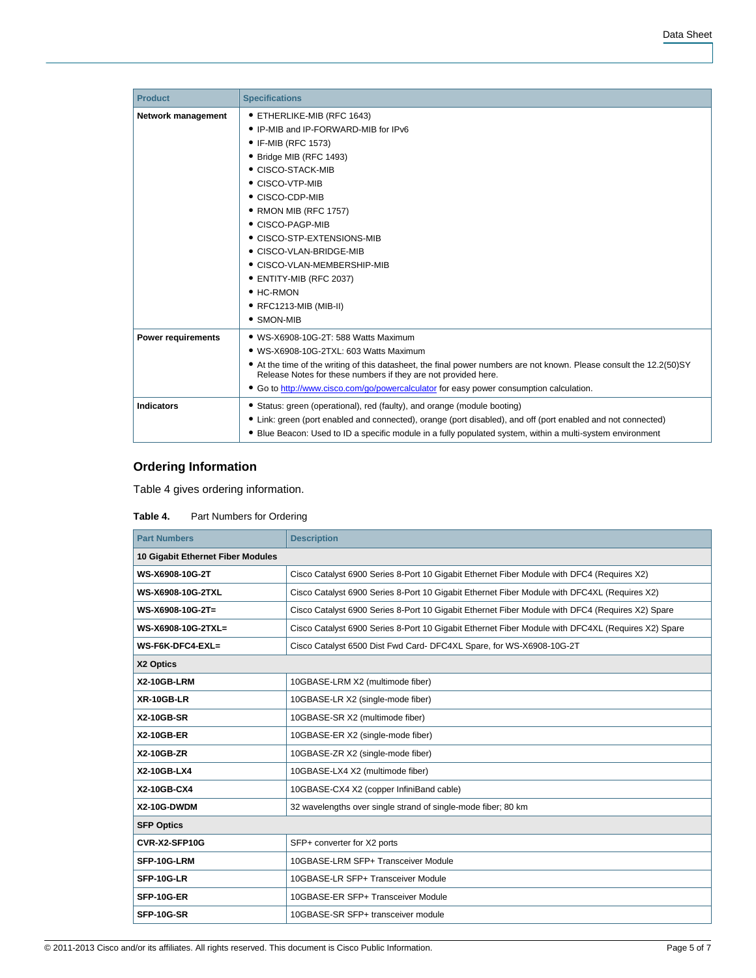| <b>Product</b>            | <b>Specifications</b>                                                                                                                                                                    |
|---------------------------|------------------------------------------------------------------------------------------------------------------------------------------------------------------------------------------|
| Network management        | • ETHERLIKE-MIB (RFC 1643)                                                                                                                                                               |
|                           | • IP-MIB and IP-FORWARD-MIB for IPv6                                                                                                                                                     |
|                           | • IF-MIB (RFC 1573)                                                                                                                                                                      |
|                           | • Bridge MIB (RFC 1493)                                                                                                                                                                  |
|                           | • CISCO-STACK-MIB                                                                                                                                                                        |
|                           | • CISCO-VTP-MIB                                                                                                                                                                          |
|                           | • CISCO-CDP-MIB                                                                                                                                                                          |
|                           | • RMON MIB (RFC 1757)                                                                                                                                                                    |
|                           | • CISCO-PAGP-MIB                                                                                                                                                                         |
|                           | • CISCO-STP-EXTENSIONS-MIB                                                                                                                                                               |
|                           | • CISCO-VLAN-BRIDGE-MIB                                                                                                                                                                  |
|                           | • CISCO-VLAN-MEMBERSHIP-MIB                                                                                                                                                              |
|                           | • ENTITY-MIB (RFC 2037)                                                                                                                                                                  |
|                           | $\bullet$ HC-RMON                                                                                                                                                                        |
|                           | • RFC1213-MIB (MIB-II)                                                                                                                                                                   |
|                           | • SMON-MIB                                                                                                                                                                               |
| <b>Power requirements</b> | • WS-X6908-10G-2T: 588 Watts Maximum                                                                                                                                                     |
|                           | • WS-X6908-10G-2TXL: 603 Watts Maximum                                                                                                                                                   |
|                           | • At the time of the writing of this datasheet, the final power numbers are not known. Please consult the 12.2(50) SY<br>Release Notes for these numbers if they are not provided here.  |
|                           | • Go to http://www.cisco.com/go/powercalculator for easy power consumption calculation.                                                                                                  |
| <b>Indicators</b>         | • Status: green (operational), red (faulty), and orange (module booting)<br>• Link: green (port enabled and connected), orange (port disabled), and off (port enabled and not connected) |
|                           | • Blue Beacon: Used to ID a specific module in a fully populated system, within a multi-system environment                                                                               |

# **Ordering Information**

Table 4 gives ordering information.

## Table 4. Part Numbers for Ordering

| <b>Part Numbers</b>               | <b>Description</b>                                                                                 |
|-----------------------------------|----------------------------------------------------------------------------------------------------|
| 10 Gigabit Ethernet Fiber Modules |                                                                                                    |
| WS-X6908-10G-2T                   | Cisco Catalyst 6900 Series 8-Port 10 Gigabit Ethernet Fiber Module with DFC4 (Requires X2)         |
| WS-X6908-10G-2TXL                 | Cisco Catalyst 6900 Series 8-Port 10 Gigabit Ethernet Fiber Module with DFC4XL (Requires X2)       |
| WS-X6908-10G-2T=                  | Cisco Catalyst 6900 Series 8-Port 10 Gigabit Ethernet Fiber Module with DFC4 (Requires X2) Spare   |
| WS-X6908-10G-2TXL=                | Cisco Catalyst 6900 Series 8-Port 10 Gigabit Ethernet Fiber Module with DFC4XL (Requires X2) Spare |
| WS-F6K-DFC4-EXL=                  | Cisco Catalyst 6500 Dist Fwd Card- DFC4XL Spare, for WS-X6908-10G-2T                               |
| X2 Optics                         |                                                                                                    |
| X2-10GB-LRM                       | 10GBASE-LRM X2 (multimode fiber)                                                                   |
| XR-10GB-LR                        | 10GBASE-LR X2 (single-mode fiber)                                                                  |
| <b>X2-10GB-SR</b>                 | 10GBASE-SR X2 (multimode fiber)                                                                    |
| <b>X2-10GB-ER</b>                 | 10GBASE-ER X2 (single-mode fiber)                                                                  |
| <b>X2-10GB-ZR</b>                 | 10GBASE-ZR X2 (single-mode fiber)                                                                  |
| X2-10GB-LX4                       | 10GBASE-LX4 X2 (multimode fiber)                                                                   |
| X2-10GB-CX4                       | 10GBASE-CX4 X2 (copper InfiniBand cable)                                                           |
| X2-10G-DWDM                       | 32 wavelengths over single strand of single-mode fiber; 80 km                                      |
| <b>SFP Optics</b>                 |                                                                                                    |
| CVR-X2-SFP10G                     | SFP+ converter for X2 ports                                                                        |
| SFP-10G-LRM                       | 10GBASE-LRM SFP+ Transceiver Module                                                                |
| SFP-10G-LR                        | 10GBASE-LR SFP+ Transceiver Module                                                                 |
| SFP-10G-ER                        | 10GBASE-ER SFP+ Transceiver Module                                                                 |
| SFP-10G-SR                        | 10GBASE-SR SFP+ transceiver module                                                                 |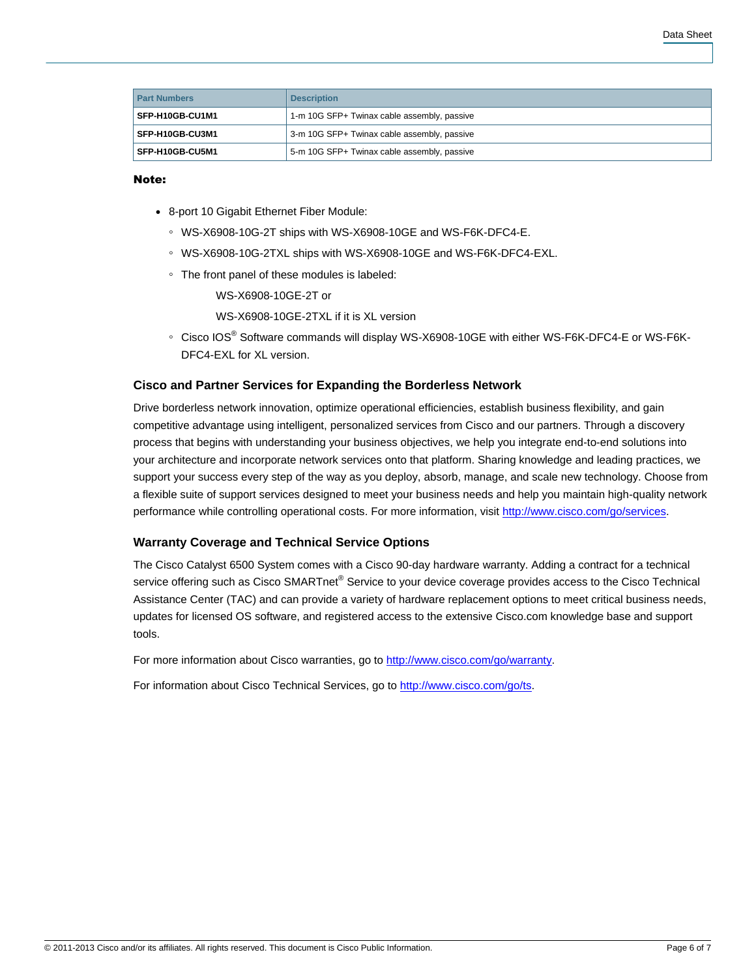| <b>Part Numbers</b> | <b>Description</b>                          |
|---------------------|---------------------------------------------|
| SFP-H10GB-CU1M1     | 1-m 10G SFP+ Twinax cable assembly, passive |
| SFP-H10GB-CU3M1     | 3-m 10G SFP+ Twinax cable assembly, passive |
| SFP-H10GB-CU5M1     | 5-m 10G SFP+ Twinax cable assembly, passive |

#### Note:

- 8-port 10 Gigabit Ethernet Fiber Module:
	- WS-X6908-10G-2T ships with WS-X6908-10GE and WS-F6K-DFC4-E.
	- WS-X6908-10G-2TXL ships with WS-X6908-10GE and WS-F6K-DFC4-EXL.
	- The front panel of these modules is labeled:

WS-X6908-10GE-2T or

- WS-X6908-10GE-2TXL if it is XL version
- Cisco IOS® Software commands will display WS-X6908-10GE with either WS-F6K-DFC4-E or WS-F6K-DFC4-EXL for XL version.

## **Cisco and Partner Services for Expanding the Borderless Network**

Drive borderless network innovation, optimize operational efficiencies, establish business flexibility, and gain competitive advantage using intelligent, personalized services from Cisco and our partners. Through a discovery process that begins with understanding your business objectives, we help you integrate end-to-end solutions into your architecture and incorporate network services onto that platform. Sharing knowledge and leading practices, we support your success every step of the way as you deploy, absorb, manage, and scale new technology. Choose from a flexible suite of support services designed to meet your business needs and help you maintain high-quality network performance while controlling operational costs. For more information, visit [http://www.cisco.com/go/services.](http://www.cisco.com/go/services)

### **Warranty Coverage and Technical Service Options**

The Cisco Catalyst 6500 System comes with a Cisco 90-day hardware warranty. Adding a contract for a technical service offering such as Cisco SMARTnet<sup>®</sup> Service to your device coverage provides access to the Cisco Technical Assistance Center (TAC) and can provide a variety of hardware replacement options to meet critical business needs, updates for licensed OS software, and registered access to the extensive Cisco.com knowledge base and support tools.

For more information about Cisco warranties, go to [http://www.cisco.com/go/warranty.](http://www.cisco.com/go/warranty)

For information about Cisco Technical Services, go to [http://www.cisco.com/go/ts.](http://www.cisco.com/go/ts)